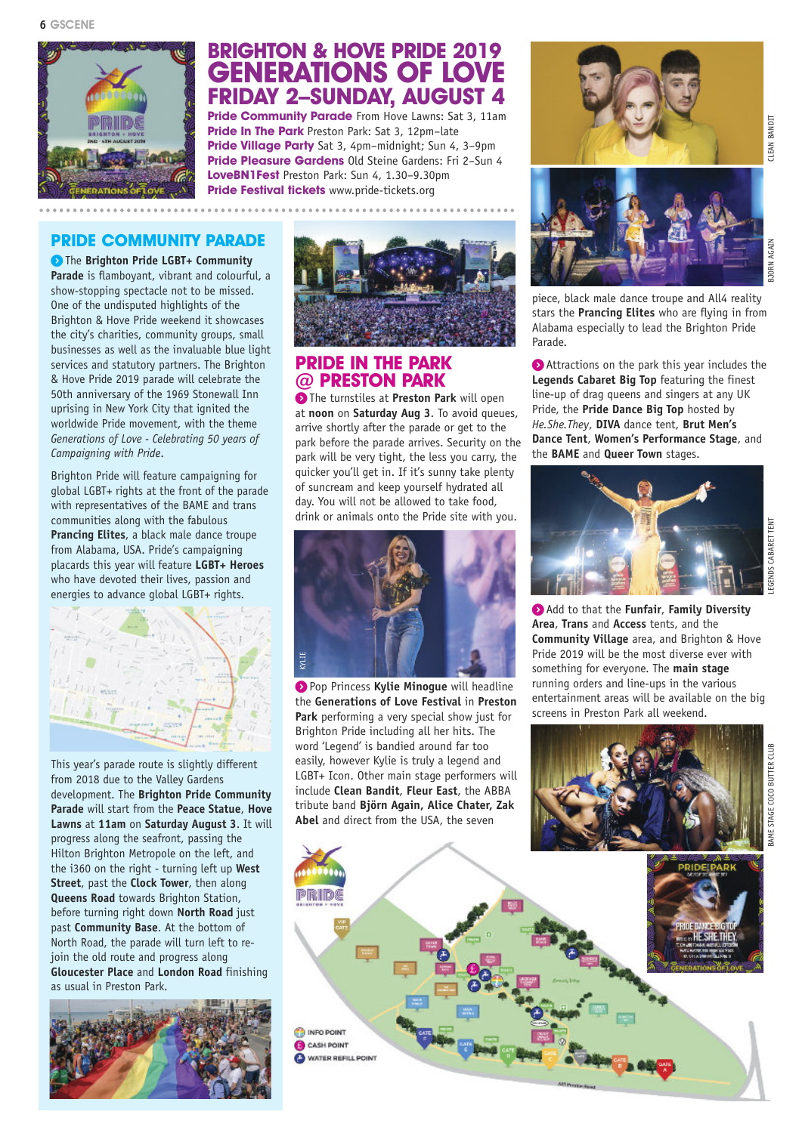

# **BRIGHTON & HOVE PRIDE 2019 GENERATIONS OF LOVE FRIDAY 2–SUNDAY, AUGUST 4**

**Pride Community Parade** From Hove Lawns: Sat 3, 11am **Pride In The Park** Preston Park: Sat 3, 12pm–late **Pride Village Party** Sat 3, 4pm–midnight; Sun 4, 3–9pm **Pride Pleasure Gardens** Old Steine Gardens: Fri 2–Sun 4 **LoveBN1Fest** Preston Park: Sun 4, 1.30–9.30pm **Pride Festival tickets** www.pride-tickets.org

# **PRIDE COMMUNITY PARADE**

**)** The **Brighton Pride LGBT+ Community Parade** is flamboyant, vibrant and colourful, a show-stopping spectacle not to be missed. One of the undisputed highlights of the Brighton & Hove Pride weekend it showcases the city's charities, community groups, small businesses as well as the invaluable blue light services and statutory partners. The Brighton & Hove Pride 2019 parade will celebrate the 50th anniversary of the 1969 Stonewall Inn uprising in New York City that ignited the worldwide Pride movement, with the theme *Generations of Love - Celebrating 50 years of Campaigning with Pride*.

Brighton Pride will feature campaigning for global LGBT+ rights at the front of the parade with representatives of the BAME and trans communities along with the fabulous **Prancing Elites**, a black male dance troupe from Alabama, USA. Pride's campaigning placards this year will feature **LGBT+ Heroes** who have devoted their lives, passion and energies to advance global LGBT+ rights.



This year's parade route is slightly different from 2018 due to the Valley Gardens development. The **Brighton Pride Community Parade** will start from the **Peace Statue**, **Hove Lawns** at **11am** on **Saturday August 3**. It will progress along the seafront, passing the Hilton Brighton Metropole on the left, and the i360 on the right - turning left up **West Street**, past the **Clock Tower**, then along **Queens Road** towards Brighton Station, before turning right down **North Road** just past **Community Base**. At the bottom of North Road, the parade will turn left to rejoin the old route and progress along **Gloucester Place** and **London Road** finishing as usual in Preston Park.





#### **PRIDE IN THE PARK @ PRESTON PARK**

**)** The turnstiles at **Preston Park** will open at **noon** on **Saturday Aug 3**. To avoid queues, arrive shortly after the parade or get to the park before the parade arrives. Security on the park will be very tight, the less you carry, the quicker you'll get in. If it's sunny take plenty of suncream and keep yourself hydrated all day. You will not be allowed to take food, drink or animals onto the Pride site with you.



**)** Pop Princess **Kylie Minogue** will headline the **Generations of Love Festival** in **Preston Park** performing a very special show just for Brighton Pride including all her hits. The word 'Legend' is bandied around far too easily, however Kylie is truly a legend and LGBT+ Icon. Other main stage performers will include **Clean Bandit**, **Fleur East**, the ABBA tribute band **Björn Again, Alice Chater, Zak Abel** and direct from the USA, the seven

**B** INFO POINT CASH POINT **O WATER REFILL POINT** 





piece, black male dance troupe and All4 reality stars the **Prancing Elites** who are flying in from Alabama especially to lead the Brighton Pride Parade.

**)** Attractions on the park this year includes the **Legends Cabaret Big Top** featuring the finest line-up of drag queens and singers at any UK Pride, the **Pride Dance Big Top** hosted by *He.She.They*, **DIVA** dance tent, **Brut Men's Dance Tent**, **Women's Performance Stage**, and the **BAME** and **Queer Town** stages.



**)** Add to that the **Funfair**, **Family Diversity Area**, **Trans** and **Access** tents, and the **Community Village** area, and Brighton & Hove Pride 2019 will be the most diverse ever with something for everyone. The **main stage** running orders and line-ups in the various entertainment areas will be available on the big screens in Preston Park all weekend.



LEGENDS CABARET TENT

GENDS CABARET TENT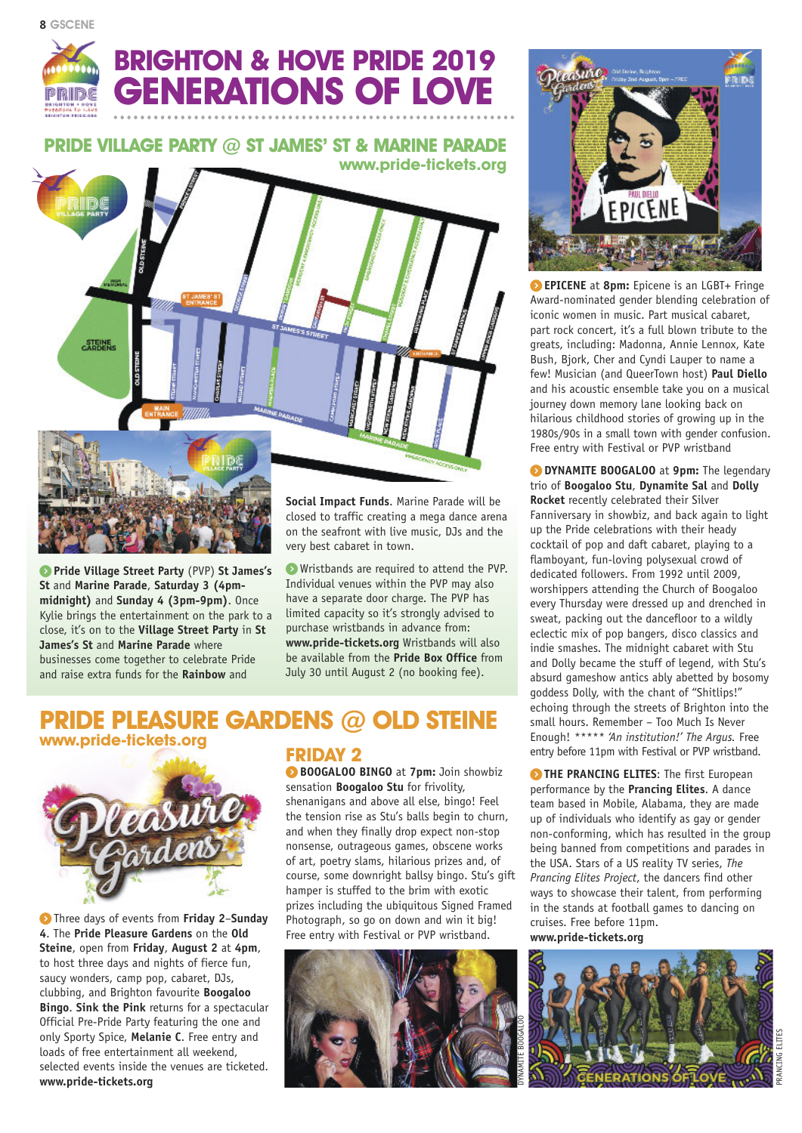

# **BRIGHTON & HOVE PRIDE 2019 GENERATIONS OF LOVE**

**PRIDE VILLAGE PARTY @ ST JAMES' ST & MARINE PARADE www.pride-tickets.org**



**) Pride Village Street Party** (PVP) **St James's St** and **Marine Parade**, **Saturday 3 (4pmmidnight)** and **Sunday 4 (3pm-9pm)**. Once Kylie brings the entertainment on the park to a close, it's on to the **Village Street Party** in **St James's St** and **Marine Parade** where businesses come together to celebrate Pride and raise extra funds for the **Rainbow** and

closed to traffic creating a mega dance arena on the seafront with live music, DJs and the very best cabaret in town.

**)** Wristbands are required to attend the PVP. Individual venues within the PVP may also have a separate door charge. The PVP has limited capacity so it's strongly advised to purchase wristbands in advance from: **www.pride-tickets.org** Wristbands will also be available from the **Pride Box Office** from July 30 until August 2 (no booking fee).

### **PRIDE PLEASURE GARDENS @ OLD STEINE www.pride-tickets.org**



**)** Three days of events from **Friday 2**–**Sunday 4**. The **Pride Pleasure Gardens** on the **Old Steine**, open from **Friday**, **August 2** at **4pm**, to host three days and nights of fierce fun, saucy wonders, camp pop, cabaret, DJs, clubbing, and Brighton favourite **Boogaloo Bingo**. **Sink the Pink** returns for a spectacular Official Pre-Pride Party featuring the one and only Sporty Spice, **Melanie C**. Free entry and loads of free entertainment all weekend, selected events inside the venues are ticketed. **www.pride-tickets.org**

#### **FRIDAY 2**

**) BOOGALOO BINGO** at **7pm:** Join showbiz sensation **Boogaloo Stu** for frivolity, shenanigans and above all else, bingo! Feel the tension rise as Stu's balls begin to churn, and when they finally drop expect non-stop nonsense, outrageous games, obscene works of art, poetry slams, hilarious prizes and, of course, some downright ballsy bingo. Stu's gift hamper is stuffed to the brim with exotic prizes including the ubiquitous Signed Framed Photograph, so go on down and win it big! Free entry with Festival or PVP wristband.





**) EPICENE** at **8pm:** Epicene is an LGBT+ Fringe Award-nominated gender blending celebration of iconic women in music. Part musical cabaret, part rock concert, it's a full blown tribute to the greats, including: Madonna, Annie Lennox, Kate Bush, Bjork, Cher and Cyndi Lauper to name a few! Musician (and QueerTown host) **Paul Diello** and his acoustic ensemble take you on a musical journey down memory lane looking back on hilarious childhood stories of growing up in the 1980s/90s in a small town with gender confusion. Free entry with Festival or PVP wristband

**) DYNAMITE BOOGALOO** at **9pm:** The legendary trio of **Boogaloo Stu**, **Dynamite Sal** and **Dolly Rocket** recently celebrated their Silver Fanniversary in showbiz, and back again to light up the Pride celebrations with their heady cocktail of pop and daft cabaret, playing to a flamboyant, fun-loving polysexual crowd of dedicated followers. From 1992 until 2009, worshippers attending the Church of Boogaloo every Thursday were dressed up and drenched in sweat, packing out the dancefloor to a wildly eclectic mix of pop bangers, disco classics and indie smashes. The midnight cabaret with Stu and Dolly became the stuff of legend, with Stu's absurd gameshow antics ably abetted by bosomy goddess Dolly, with the chant of "Shitlips!" echoing through the streets of Brighton into the small hours. Remember – Too Much Is Never Enough! *\*\*\*\*\* 'An institution!' The Argus.* Free entry before 11pm with Festival or PVP wristband.

**) THE PRANCING ELITES**: The first European performance by the **Prancing Elites**. A dance team based in Mobile, Alabama, they are made up of individuals who identify as gay or gender non-conforming, which has resulted in the group being banned from competitions and parades in the USA. Stars of a US reality TV series, *The Prancing Elites Project*, the dancers find other ways to showcase their talent, from performing in the stands at football games to dancing on cruises. Free before 11pm. **www.pride-tickets.org**



PRANCING ELITES